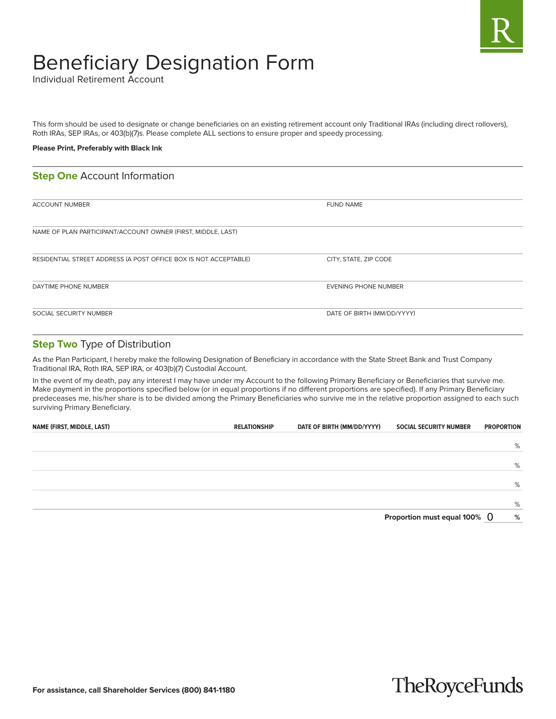

# Beneficiary Designation Form

Individual Retirement Account

This form should be used to designate or change beneficiaries on an existing retirement account only Traditional IRAs (including direct rollovers), Roth IRAs, SEP IRAs, or 403(b)(7)s. Please complete ALL sections to ensure proper and speedy processing.

### **Please Print, Preferably with Black Ink**

### **Step One** Account Information

| <b>ACCOUNT NUMBER</b>                                            | <b>FUND NAME</b>            |
|------------------------------------------------------------------|-----------------------------|
| NAME OF PLAN PARTICIPANT/ACCOUNT OWNER (FIRST, MIDDLE, LAST)     |                             |
| RESIDENTIAL STREET ADDRESS (A POST OFFICE BOX IS NOT ACCEPTABLE) | CITY, STATE, ZIP CODE       |
| DAYTIME PHONE NUMBER                                             | <b>EVENING PHONE NUMBER</b> |
| SOCIAL SECURITY NUMBER                                           | DATE OF BIRTH (MM/DD/YYYY)  |

### **Step Two** Type of Distribution

As the Plan Participant, I hereby make the following Designation of Beneficiary in accordance with the State Street Bank and Trust Company Traditional IRA, Roth IRA, SEP IRA, or 403(b)(7) Custodial Account.

In the event of my death, pay any interest I may have under my Account to the following Primary Beneficiary or Beneficiaries that survive me. Make payment in the proportions specified below (or in equal proportions if no different proportions are specified). If any Primary Beneficiary predeceases me, his/her share is to be divided among the Primary Beneficiaries who survive me in the relative proportion assigned to each such surviving Primary Beneficiary.

| NAME (FIRST, MIDDLE, LAST) | <b>RELATIONSHIP</b> | DATE OF BIRTH (MM/DD/YYYY) | <b>SOCIAL SECURITY NUMBER</b>   | <b>PROPORTION</b> |   |
|----------------------------|---------------------|----------------------------|---------------------------------|-------------------|---|
|                            |                     |                            |                                 |                   |   |
|                            |                     |                            |                                 |                   | % |
|                            |                     |                            |                                 |                   |   |
|                            |                     |                            |                                 |                   | % |
|                            |                     |                            |                                 |                   |   |
|                            |                     |                            |                                 |                   | % |
|                            |                     |                            |                                 |                   |   |
|                            |                     |                            |                                 |                   | % |
|                            |                     |                            | Proportion must equal $100\%$ 0 |                   | % |

## **TheRoyceFunds**